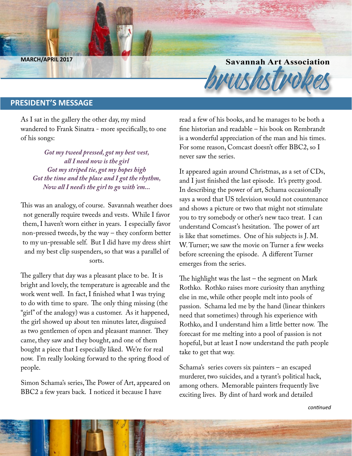**Savannah Art Association**<br>Brush Company of the MARCH/APRIL 2017

### **PRESIDENT'S MESSAGE**

As I sat in the gallery the other day, my mind wandered to Frank Sinatra - more specifically, to one of his songs:

*Got my tweed pressed, got my best vest, all I need now is the girl Got my striped tie, got my hopes high Got the time and the place and I got the rhythm, Now all I need's the girl to go with 'em...*

This was an analogy, of course. Savannah weather does not generally require tweeds and vests. While I favor them, I haven't worn either in years. I especially favor non-pressed tweeds, by the way – they conform better to my un-pressable self. But I did have my dress shirt and my best clip suspenders, so that was a parallel of sorts.

The gallery that day was a pleasant place to be. It is bright and lovely, the temperature is agreeable and the work went well. In fact, I finished what I was trying to do with time to spare. The only thing missing (the "girl" of the analogy) was a customer. As it happened, the girl showed up about ten minutes later, disguised as two gentlemen of open and pleasant manner. They came, they saw and they bought, and one of them bought a piece that I especially liked. We're for real now. I'm really looking forward to the spring flood of people.

Simon Schama's series, The Power of Art, appeared on BBC2 a few years back. I noticed it because I have

read a few of his books, and he manages to be both a fine historian and readable – his book on Rembrandt is a wonderful appreciation of the man and his times. For some reason, Comcast doesn't offer BBC2, so I never saw the series.

It appeared again around Christmas, as a set of CDs, and I just finished the last episode. It's pretty good. In describing the power of art, Schama occasionally says a word that US television would not countenance and shows a picture or two that might not stimulate you to try somebody or other's new taco treat. I can understand Comcast's hesitation. The power of art is like that sometimes. One of his subjects is J. M. W. Turner; we saw the movie on Turner a few weeks before screening the episode. A different Turner emerges from the series.

The highlight was the last – the segment on Mark Rothko. Rothko raises more curiosity than anything else in me, while other people melt into pools of passion. Schama led me by the hand (linear thinkers need that sometimes) through his experience with Rothko, and I understand him a little better now. The forecast for me melting into a pool of passion is not hopeful, but at least I now understand the path people take to get that way.

Schama's series covers six painters – an escaped murderer, two suicides, and a tyrant's political hack, among others. Memorable painters frequently live exciting lives. By dint of hard work and detailed

*continued*

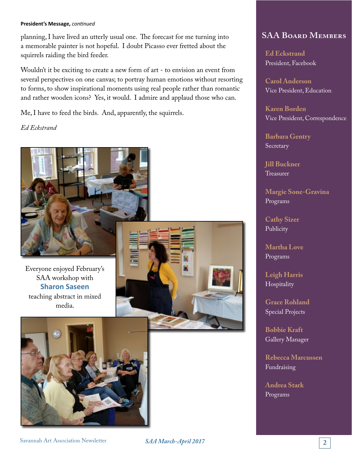#### **President's Message,** *continued*

planning, I have lived an utterly usual one. The forecast for me turning into a memorable painter is not hopeful. I doubt Picasso ever fretted about the squirrels raiding the bird feeder.

Wouldn't it be exciting to create a new form of art - to envision an event from several perspectives on one canvas; to portray human emotions without resorting to forms, to show inspirational moments using real people rather than romantic and rather wooden icons? Yes, it would. I admire and applaud those who can.

Me, I have to feed the birds. And, apparently, the squirrels.

*Ed Eckstrand*



Everyone enjoyed February's SAA workshop with **Sharon Saseen** teaching abstract in mixed media.





### **SAA Board Members**

**Ed Eckstrand** President, Facebook

**Carol Anderson** Vice President, Education

**Karen Borden** Vice President, Correspondence

**Barbara Gentry** Secretary

**Jill Buckner** Treasurer

**Margie Sone-Gravina** Programs

**Cathy Sizer** Publicity

**Martha Love** Programs

**Leigh Harris** Hospitality

**Grace Rohland** Special Projects

**Bobbie Kraft** Gallery Manager

**Rebecca Marcussen** Fundraising

**Andrea Stark** Programs

**Savannah Art Association Newsletter 26 SAA March-April 2017**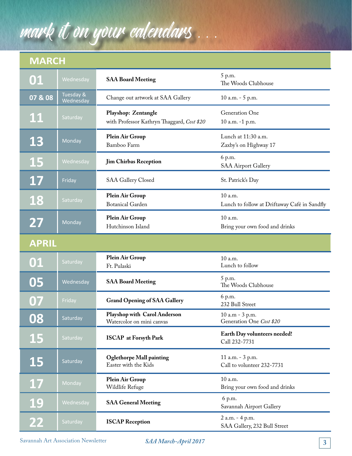# mark it on your calendars . . .

### **MARCH**

| 01                       | Wednesday              | <b>SAA Board Meeting</b>                                          | 5 p.m.<br>The Woods Clubhouse                           |
|--------------------------|------------------------|-------------------------------------------------------------------|---------------------------------------------------------|
| 07 & 08                  | Tuesday &<br>Wednesday | Change out artwork at SAA Gallery                                 | 10 a.m. - 5 p.m.                                        |
| <u> 11</u>               | Saturday               | Playshop: Zentangle<br>with Professor Kathryn Thaggard, Cost \$20 | Generation One<br>10 a.m. -1 p.m.                       |
| 13                       | Monday                 | Plein Air Group<br>Bamboo Farm                                    | Lunch at 11:30 a.m.<br>Zaxby's on Highway 17            |
| <b>15</b>                | Wednesday              | <b>Jim Chirbas Reception</b>                                      | 6 p.m.<br><b>SAA Airport Gallery</b>                    |
| 17                       | Friday                 | <b>SAA Gallery Closed</b>                                         | St. Patrick's Day                                       |
| 18                       | Saturday               | Plein Air Group<br><b>Botanical Garden</b>                        | 10 a.m.<br>Lunch to follow at Driftaway Café in Sandfly |
| 27                       | Monday                 | Plein Air Group<br>Hutchinson Island                              | 10 a.m.<br>Bring your own food and drinks               |
| <b>APRIL</b>             |                        |                                                                   |                                                         |
| 01                       | Saturday               | Plein Air Group<br>Ft. Pulaski                                    | 10 a.m.<br>Lunch to follow                              |
| 05                       | Wednesday              | <b>SAA Board Meeting</b>                                          | 5 p.m.<br>The Woods Clubhouse                           |
| 07                       | Friday                 | <b>Grand Opening of SAA Gallery</b>                               | 6 p.m.<br>232 Bull Street                               |
| 08                       | Saturday               | Playshop with Carol Anderson<br>Watercolor on mini canvas         | 10 a.m - 3 p.m.<br>Generation One Cost \$20             |
| <b>15</b>                | Saturday               | <b>ISCAP</b> at Forsyth Park                                      | Earth Day volunteers needed!<br>Call 232-7731           |
| <b>15</b>                | Saturday               | <b>Oglethorpe Mall painting</b><br>Easter with the Kids           | 11 a.m. - 3 p.m.<br>Call to volunteer 232-7731          |
| 17                       | Monday                 | Plein Air Group<br>Wildlife Refuge                                | 10 a.m.<br>Bring your own food and drinks               |
| 19                       | Wednesday              | <b>SAA General Meeting</b>                                        | 6 p.m.<br>Savannah Airport Gallery                      |
| $\overline{\mathbf{22}}$ | Saturday               | <b>ISCAP Reception</b>                                            | 2 a.m. - 4 p.m.<br>SAA Gallery, 232 Bull Street         |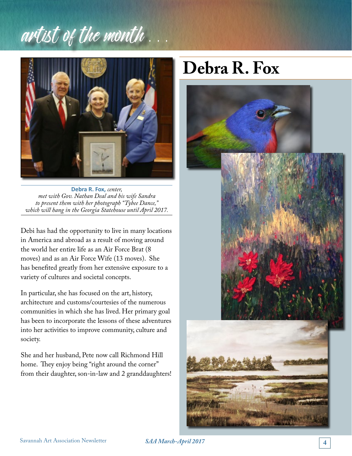# artist of the month.



**Debra R. Fox,** *center, met with Gov. Nathan Deal and his wife Sandra to present them with her photograph "Tybee Dance," which will hang in the Georgia Statehouse until April 2017.*

Debi has had the opportunity to live in many locations in America and abroad as a result of moving around the world her entire life as an Air Force Brat (8 moves) and as an Air Force Wife (13 moves). She has benefited greatly from her extensive exposure to a variety of cultures and societal concepts.

In particular, she has focused on the art, history, architecture and customs/courtesies of the numerous communities in which she has lived. Her primary goal has been to incorporate the lessons of these adventures into her activities to improve community, culture and society.

She and her husband, Pete now call Richmond Hill home. They enjoy being "right around the corner" from their daughter, son-in-law and 2 granddaughters!

# **Debra R. Fox**